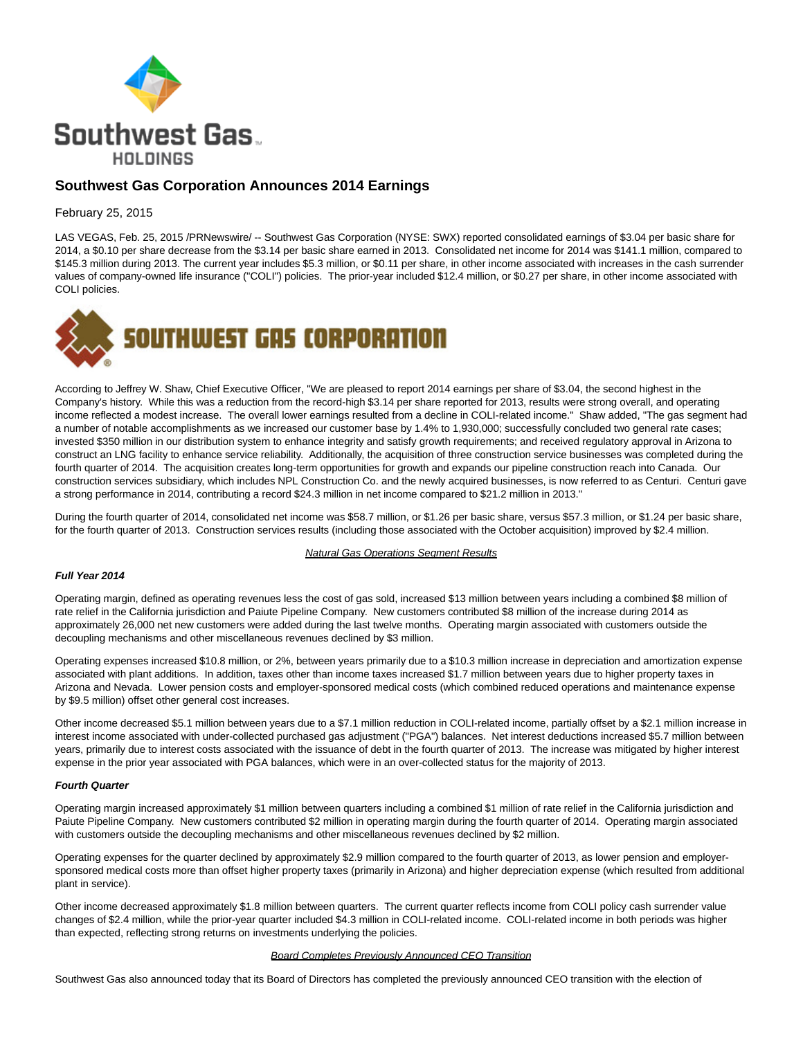

# **Southwest Gas Corporation Announces 2014 Earnings**

## February 25, 2015

LAS VEGAS, Feb. 25, 2015 /PRNewswire/ -- Southwest Gas Corporation (NYSE: SWX) reported consolidated earnings of \$3.04 per basic share for 2014, a \$0.10 per share decrease from the \$3.14 per basic share earned in 2013. Consolidated net income for 2014 was \$141.1 million, compared to \$145.3 million during 2013. The current year includes \$5.3 million, or \$0.11 per share, in other income associated with increases in the cash surrender values of company-owned life insurance ("COLI") policies. The prior-year included \$12.4 million, or \$0.27 per share, in other income associated with COLI policies.



According to Jeffrey W. Shaw, Chief Executive Officer, "We are pleased to report 2014 earnings per share of \$3.04, the second highest in the Company's history. While this was a reduction from the record-high \$3.14 per share reported for 2013, results were strong overall, and operating income reflected a modest increase. The overall lower earnings resulted from a decline in COLI-related income." Shaw added, "The gas segment had a number of notable accomplishments as we increased our customer base by 1.4% to 1,930,000; successfully concluded two general rate cases; invested \$350 million in our distribution system to enhance integrity and satisfy growth requirements; and received regulatory approval in Arizona to construct an LNG facility to enhance service reliability. Additionally, the acquisition of three construction service businesses was completed during the fourth quarter of 2014. The acquisition creates long-term opportunities for growth and expands our pipeline construction reach into Canada. Our construction services subsidiary, which includes NPL Construction Co. and the newly acquired businesses, is now referred to as Centuri. Centuri gave a strong performance in 2014, contributing a record \$24.3 million in net income compared to \$21.2 million in 2013."

During the fourth quarter of 2014, consolidated net income was \$58.7 million, or \$1.26 per basic share, versus \$57.3 million, or \$1.24 per basic share, for the fourth quarter of 2013. Construction services results (including those associated with the October acquisition) improved by \$2.4 million.

### Natural Gas Operations Segment Results

### **Full Year 2014**

Operating margin, defined as operating revenues less the cost of gas sold, increased \$13 million between years including a combined \$8 million of rate relief in the California jurisdiction and Paiute Pipeline Company. New customers contributed \$8 million of the increase during 2014 as approximately 26,000 net new customers were added during the last twelve months. Operating margin associated with customers outside the decoupling mechanisms and other miscellaneous revenues declined by \$3 million.

Operating expenses increased \$10.8 million, or 2%, between years primarily due to a \$10.3 million increase in depreciation and amortization expense associated with plant additions. In addition, taxes other than income taxes increased \$1.7 million between years due to higher property taxes in Arizona and Nevada. Lower pension costs and employer-sponsored medical costs (which combined reduced operations and maintenance expense by \$9.5 million) offset other general cost increases.

Other income decreased \$5.1 million between years due to a \$7.1 million reduction in COLI-related income, partially offset by a \$2.1 million increase in interest income associated with under-collected purchased gas adjustment ("PGA") balances. Net interest deductions increased \$5.7 million between years, primarily due to interest costs associated with the issuance of debt in the fourth quarter of 2013. The increase was mitigated by higher interest expense in the prior year associated with PGA balances, which were in an over-collected status for the majority of 2013.

### **Fourth Quarter**

Operating margin increased approximately \$1 million between quarters including a combined \$1 million of rate relief in the California jurisdiction and Paiute Pipeline Company. New customers contributed \$2 million in operating margin during the fourth quarter of 2014. Operating margin associated with customers outside the decoupling mechanisms and other miscellaneous revenues declined by \$2 million.

Operating expenses for the quarter declined by approximately \$2.9 million compared to the fourth quarter of 2013, as lower pension and employersponsored medical costs more than offset higher property taxes (primarily in Arizona) and higher depreciation expense (which resulted from additional plant in service).

Other income decreased approximately \$1.8 million between quarters. The current quarter reflects income from COLI policy cash surrender value changes of \$2.4 million, while the prior-year quarter included \$4.3 million in COLI-related income. COLI-related income in both periods was higher than expected, reflecting strong returns on investments underlying the policies.

#### Board Completes Previously Announced CEO Transition

Southwest Gas also announced today that its Board of Directors has completed the previously announced CEO transition with the election of